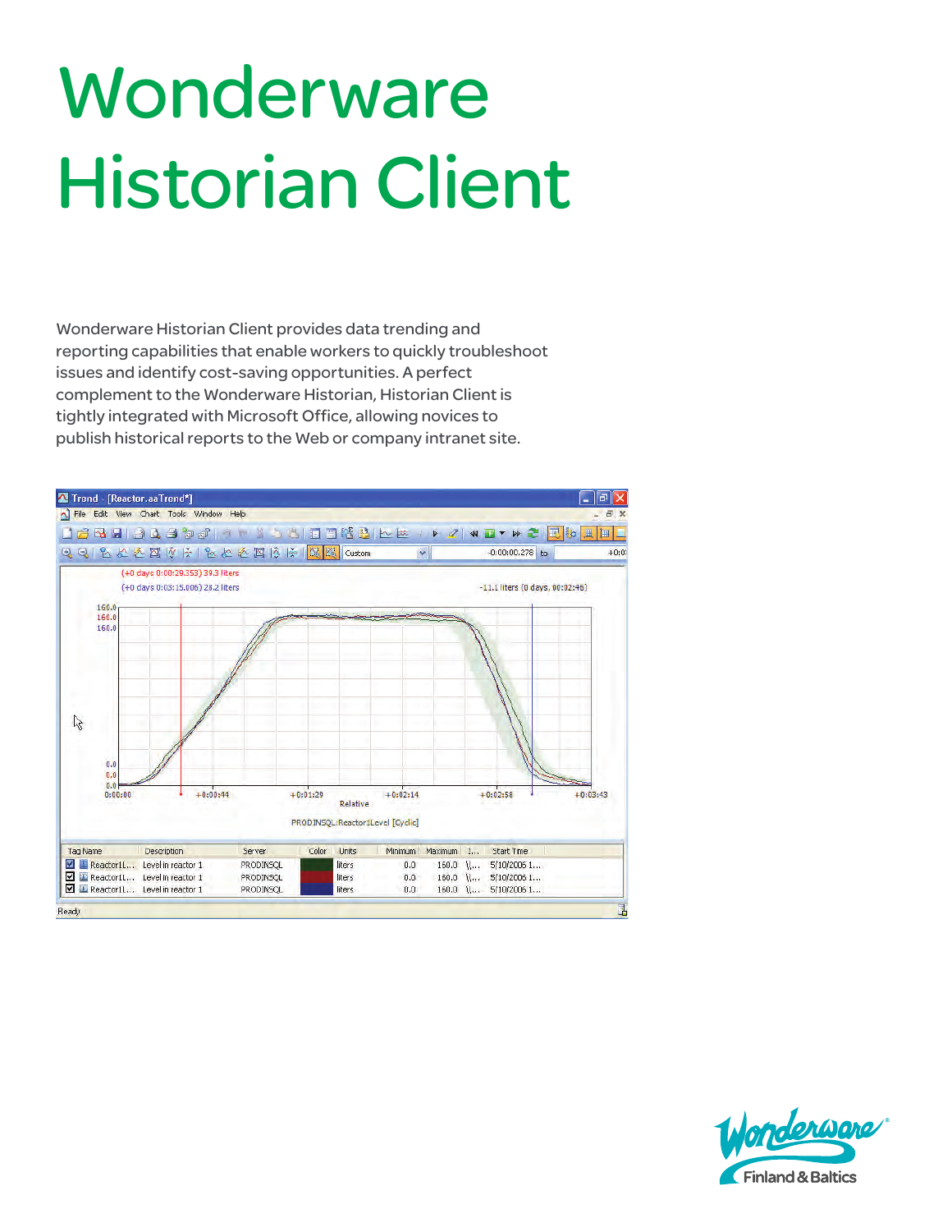# **Wonderware** Historian Client

Wonderware Historian Client provides data trending and reporting capabilities that enable workers to quickly troubleshoot issues and identify cost-saving opportunities. A perfect complement to the Wonderware Historian, Historian Client is tightly integrated with Microsoft Office, allowing novices to publish historical reports to the Web or company intranet site.



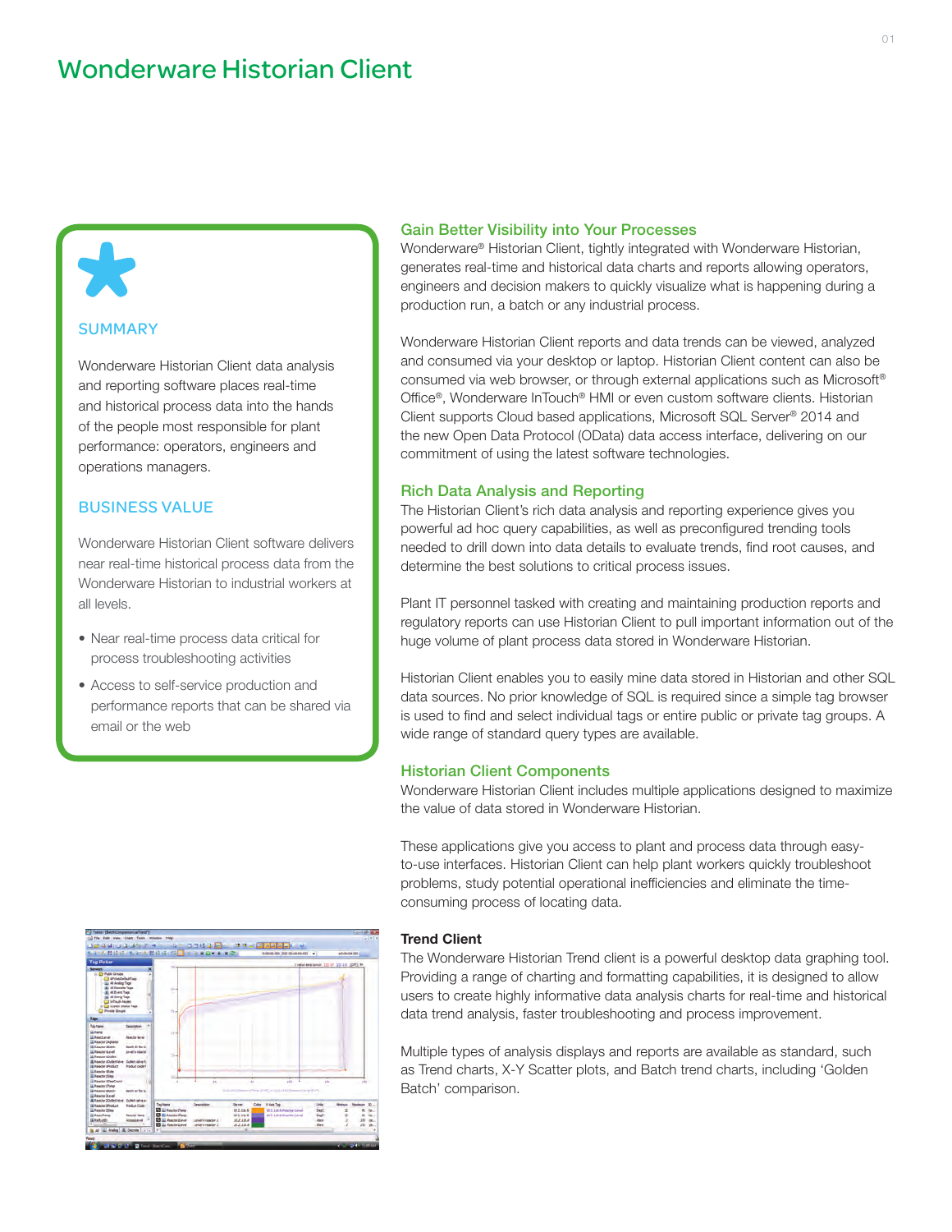### **SUMMARY**

71

Wonderware Historian Client data analysis and reporting software places real-time and historical process data into the hands of the people most responsible for plant performance: operators, engineers and operations managers.

#### BUSINESS VALUE

Wonderware Historian Client software delivers near real-time historical process data from the Wonderware Historian to industrial workers at all levels.

- Near real-time process data critical for process troubleshooting activities
- Access to self-service production and performance reports that can be shared via email or the web

# 

#### Gain Better Visibility into Your Processes

Wonderware® Historian Client, tightly integrated with Wonderware Historian, generates real-time and historical data charts and reports allowing operators, engineers and decision makers to quickly visualize what is happening during a production run, a batch or any industrial process.

Wonderware Historian Client reports and data trends can be viewed, analyzed and consumed via your desktop or laptop. Historian Client content can also be consumed via web browser, or through external applications such as Microsoft® Office®, Wonderware InTouch® HMI or even custom software clients. Historian Client supports Cloud based applications, Microsoft SQL Server® 2014 and the new Open Data Protocol (OData) data access interface, delivering on our commitment of using the latest software technologies.

#### Rich Data Analysis and Reporting

The Historian Client's rich data analysis and reporting experience gives you powerful ad hoc query capabilities, as well as preconfigured trending tools needed to drill down into data details to evaluate trends, find root causes, and determine the best solutions to critical process issues.

Plant IT personnel tasked with creating and maintaining production reports and regulatory reports can use Historian Client to pull important information out of the huge volume of plant process data stored in Wonderware Historian.

Historian Client enables you to easily mine data stored in Historian and other SQL data sources. No prior knowledge of SQL is required since a simple tag browser is used to find and select individual tags or entire public or private tag groups. A wide range of standard query types are available.

#### Historian Client Components

Wonderware Historian Client includes multiple applications designed to maximize the value of data stored in Wonderware Historian.

These applications give you access to plant and process data through easyto-use interfaces. Historian Client can help plant workers quickly troubleshoot problems, study potential operational inefficiencies and eliminate the timeconsuming process of locating data.

#### Trend Client

The Wonderware Historian Trend client is a powerful desktop data graphing tool. Providing a range of charting and formatting capabilities, it is designed to allow users to create highly informative data analysis charts for real-time and historical data trend analysis, faster troubleshooting and process improvement.

Multiple types of analysis displays and reports are available as standard, such as Trend charts, X-Y Scatter plots, and Batch trend charts, including 'Golden Batch' comparison.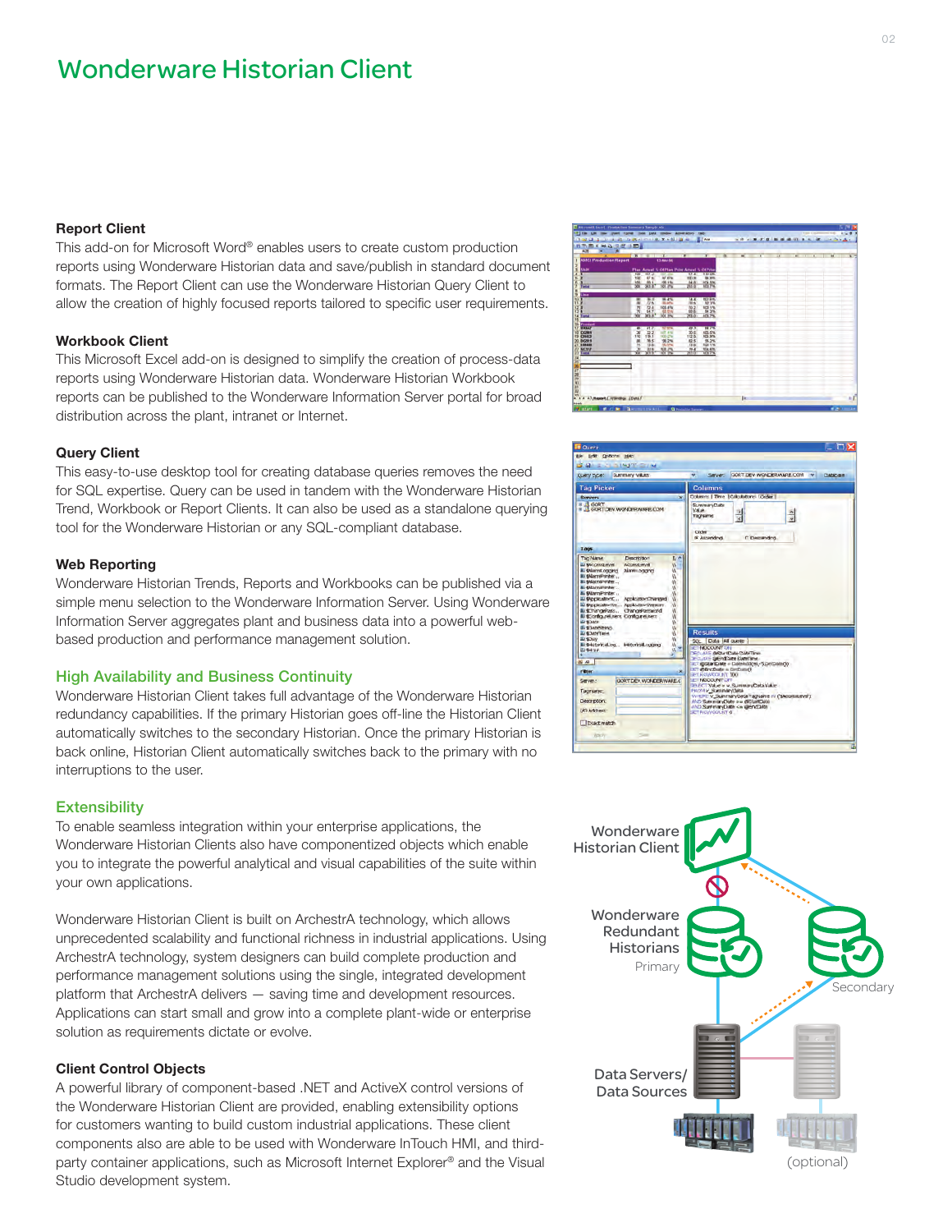## Wonderware Historian Client

#### Report Client

This add-on for Microsoft Word® enables users to create custom production reports using Wonderware Historian data and save/publish in standard document formats. The Report Client can use the Wonderware Historian Query Client to allow the creation of highly focused reports tailored to specific user requirements.

#### Workbook Client

This Microsoft Excel add-on is designed to simplify the creation of process-data reports using Wonderware Historian data. Wonderware Historian Workbook reports can be published to the Wonderware Information Server portal for broad distribution across the plant, intranet or Internet.

#### Query Client

This easy-to-use desktop tool for creating database queries removes the need for SQL expertise. Query can be used in tandem with the Wonderware Historian Trend, Workbook or Report Clients. It can also be used as a standalone querying tool for the Wonderware Historian or any SQL-compliant database.

#### Web Reporting

Wonderware Historian Trends, Reports and Workbooks can be published via a simple menu selection to the Wonderware Information Server. Using Wonderware Information Server aggregates plant and business data into a powerful webbased production and performance management solution.

#### High Availability and Business Continuity

Wonderware Historian Client takes full advantage of the Wonderware Historian redundancy capabilities. If the primary Historian goes off-line the Historian Client automatically switches to the secondary Historian. Once the primary Historian is back online, Historian Client automatically switches back to the primary with no interruptions to the user.

#### **Extensibility**

To enable seamless integration within your enterprise applications, the Wonderware Historian Clients also have componentized objects which enable you to integrate the powerful analytical and visual capabilities of the suite within your own applications.

Wonderware Historian Client is built on ArchestrA technology, which allows unprecedented scalability and functional richness in industrial applications. Using ArchestrA technology, system designers can build complete production and performance management solutions using the single, integrated development platform that ArchestrA delivers — saving time and development resources. Applications can start small and grow into a complete plant-wide or enterprise solution as requirements dictate or evolve.

#### Client Control Objects

A powerful library of component-based .NET and ActiveX control versions of the Wonderware Historian Client are provided, enabling extensibility options for customers wanting to build custom industrial applications. These client components also are able to be used with Wonderware InTouch HMI, and thirdparty container applications, such as Microsoft Internet Explorer® and the Visual Studio development system.

| <b>AMCI Freduction Report</b>                                                                       |                                               |                                      | 13-Nov-56                                                              |                                                 |                                                                               | × | $\mathbf{K}$ | $\overline{1}$ | $\overline{1}$ | <b>RESIDENT</b> | w | 98.72<br><b>The Contract of the Contract</b> |
|-----------------------------------------------------------------------------------------------------|-----------------------------------------------|--------------------------------------|------------------------------------------------------------------------|-------------------------------------------------|-------------------------------------------------------------------------------|---|--------------|----------------|----------------|-----------------|---|----------------------------------------------|
| Shift                                                                                               | Flax Artual % Of Play Print Artual % Of Print |                                      |                                                                        |                                                 |                                                                               |   |              |                |                |                 |   |                                              |
| <b>College</b>                                                                                      | <b>FSAF</b><br><b>YEC</b><br><b>ABO</b><br>w  | 937.4<br>47 <sub>8</sub><br>464<br>w | AU 676<br>49-146<br><b>KITCH</b>                                       | 41.4<br>WHO AH<br>04 A<br>295.0                 | 1 Hr Oh.<br><b>GEL SITE</b><br><b>HOA RAC</b><br>面包                           |   |              |                |                |                 |   |                                              |
| <b>Unit</b><br>Q<br>ta Tenal                                                                        | 쯥<br>졣                                        | 78.3<br>77 K<br>724<br>品页            | 75.4<br><b>MILAPIG</b><br>101.4%<br>設置                                 | TAL<br>$198 +$<br>PQ2<br>50.6<br>593.0          | <b>NO BR.</b><br><b>M2 VW</b><br>1031%<br>品菜                                  |   |              |                |                |                 |   |                                              |
| <b>President</b><br><b>WWAAT</b><br>13 COMM<br>CHIST<br><b>BG919</b><br>21 <b>8 84 850</b><br>56357 | $\overline{44}$<br>$rac{30}{162}$<br>쪘<br>s   | 717<br>32.2<br>115.1<br>76.5<br>13.6 | <b>M.7 6/10</b><br>aft and<br><b>KB-DV</b><br>98.2%<br><b>SKL tree</b> | 49.3<br>30.6<br>112.6<br>82.5<br>13.6<br>$19-4$ | <b>BE7%</b><br>105.0%<br>105.9%<br>95.2%<br><b>hopi 1 ML</b><br><b>MALAIN</b> |   |              |                |                |                 |   |                                              |
| $\sim$                                                                                              | œ                                             | Wi-                                  | 岩朵                                                                     | 588                                             | 125.7%                                                                        |   |              |                |                |                 |   |                                              |